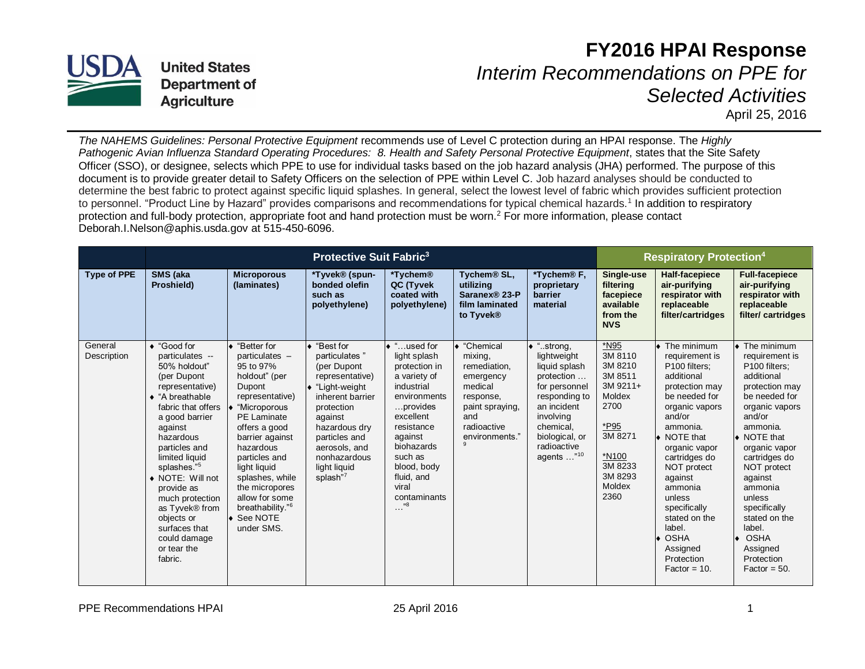

**United States Department of Agriculture** 

## **FY2016 HPAI Response** *Interim Recommendations on PPE for*

*Selected Activities* 

April 25, 2016

*The NAHEMS Guidelines: Personal Protective Equipment* recommends use of Level C protection during an HPAI response. The *Highly Pathogenic Avian Influenza Standard Operating Procedures: 8. Health and Safety Personal Protective Equipment*, states that the Site Safety Officer (SSO), or designee, selects which PPE to use for individual tasks based on the job hazard analysis (JHA) performed. The purpose of this document is to provide greater detail to Safety Officers on the selection of PPE within Level C. Job hazard analyses should be conducted to determine the best fabric to protect against specific liquid splashes. In general, select the lowest level of fabric which provides sufficient protection to personnel. "Product Line by Hazard" provides comparisons and recommendations for typical chemical hazards.<sup>1</sup> In addition to respiratory protection and full-body protection, appropriate foot and hand protection must be worn.<sup>2</sup> For more information, please contact Deborah.I.Nelson@aphis.usda.gov at 515-450-6096.

|                        | <b>Protective Suit Fabric<sup>3</sup></b>                                                                                                                                                                                                                                                                                                                                               |                                                                                                                                                                                                                                                                                                                                             |                                                                                                                                                                                                                                       |                                                                                                                                                                                                                                                    |                                                                                                                                      |                                                                                                                                                                                                     | <b>Respiratory Protection4</b>                                                                                                                      |                                                                                                                                                                                                                                                                                                                                                                  |                                                                                                                                                                                                                                                                                                                                                                  |
|------------------------|-----------------------------------------------------------------------------------------------------------------------------------------------------------------------------------------------------------------------------------------------------------------------------------------------------------------------------------------------------------------------------------------|---------------------------------------------------------------------------------------------------------------------------------------------------------------------------------------------------------------------------------------------------------------------------------------------------------------------------------------------|---------------------------------------------------------------------------------------------------------------------------------------------------------------------------------------------------------------------------------------|----------------------------------------------------------------------------------------------------------------------------------------------------------------------------------------------------------------------------------------------------|--------------------------------------------------------------------------------------------------------------------------------------|-----------------------------------------------------------------------------------------------------------------------------------------------------------------------------------------------------|-----------------------------------------------------------------------------------------------------------------------------------------------------|------------------------------------------------------------------------------------------------------------------------------------------------------------------------------------------------------------------------------------------------------------------------------------------------------------------------------------------------------------------|------------------------------------------------------------------------------------------------------------------------------------------------------------------------------------------------------------------------------------------------------------------------------------------------------------------------------------------------------------------|
| <b>Type of PPE</b>     | SMS (aka<br>Proshield)                                                                                                                                                                                                                                                                                                                                                                  | <b>Microporous</b><br>(laminates)                                                                                                                                                                                                                                                                                                           | *Tyvek® (spun-<br>bonded olefin<br>such as<br>polyethylene)                                                                                                                                                                           | *Tychem <sup>®</sup><br>QC (Tyvek<br>coated with<br>polyethylene)                                                                                                                                                                                  | Tychem <sup>®</sup> SL,<br>utilizing<br>Saranex <sup>®</sup> 23-P<br>film laminated<br>to Tyvek <sup>®</sup>                         | *Tychem <sup>®</sup> F,<br>proprietary<br>barrier<br>material                                                                                                                                       | Single-use<br>filtering<br>facepiece<br>available<br>from the<br><b>NVS</b>                                                                         | <b>Half-facepiece</b><br>air-purifying<br>respirator with<br>replaceable<br>filter/cartridges                                                                                                                                                                                                                                                                    | <b>Full-facepiece</b><br>air-purifying<br>respirator with<br>replaceable<br>filter/cartridges                                                                                                                                                                                                                                                                    |
| General<br>Description | $\triangle$ "Good for<br>particulates --<br>50% holdout"<br>(per Dupont<br>representative)<br>$\bullet$ "A breathable<br>fabric that offers<br>a good barrier<br>against<br>hazardous<br>particles and<br>limited liquid<br>splashes."5<br>• NOTE: Will not<br>provide as<br>much protection<br>as Tyvek® from<br>objects or<br>surfaces that<br>could damage<br>or tear the<br>fabric. | "Better for<br>particulates -<br>95 to 97%<br>holdout" (per<br>Dupont<br>representative)<br>"Microporous<br><b>PE Laminate</b><br>offers a good<br>barrier against<br>hazardous<br>particles and<br>light liguid<br>splashes, while<br>the micropores<br>allow for some<br>breathability." <sup>6</sup><br>$\bullet$ See NOTE<br>under SMS. | ◆ "Best for<br>particulates"<br>(per Dupont<br>representative)<br>$\bullet$ "Light-weight<br>inherent barrier<br>protection<br>against<br>hazardous dry<br>particles and<br>aerosols, and<br>nonhazardous<br>light liguid<br>splash"7 | ◆ "used for<br>light splash<br>protection in<br>a variety of<br>industrial<br>environments<br>provides<br>excellent<br>resistance<br>against<br>biohazards<br>such as<br>blood, body<br>fluid, and<br>viral<br>contaminants<br>"8<br>$\sim$ $\sim$ | "Chemical<br>mixing,<br>remediation,<br>emergency<br>medical<br>response,<br>paint spraying,<br>and<br>radioactive<br>environments." | $\bullet$ "strong,<br>lightweight<br>liquid splash<br>protection<br>for personnel<br>responding to<br>an incident<br>involving<br>chemical.<br>biological, or<br>radioactive<br>agents $\ldots$ "10 | *N95<br>3M 8110<br>3M 8210<br>3M 8511<br>3M 9211+<br>Moldex<br>2700<br>*P95<br>3M 8271<br>*N <sub>100</sub><br>3M 8233<br>3M 8293<br>Moldex<br>2360 | $\bullet$ The minimum<br>requirement is<br>P100 filters;<br>additional<br>protection may<br>be needed for<br>organic vapors<br>and/or<br>ammonia.<br>$\bullet$ NOTE that<br>organic vapor<br>cartridges do<br>NOT protect<br>against<br>ammonia<br>unless<br>specifically<br>stated on the<br>label.<br><b>OSHA</b><br>Assigned<br>Protection<br>$Factor = 10$ . | $\bullet$ The minimum<br>requirement is<br>P100 filters:<br>additional<br>protection may<br>be needed for<br>organic vapors<br>and/or<br>ammonia.<br>$\bullet$ NOTE that<br>organic vapor<br>cartridges do<br>NOT protect<br>against<br>ammonia<br>unless<br>specifically<br>stated on the<br>label.<br><b>OSHA</b><br>Assigned<br>Protection<br>$Factor = 50$ . |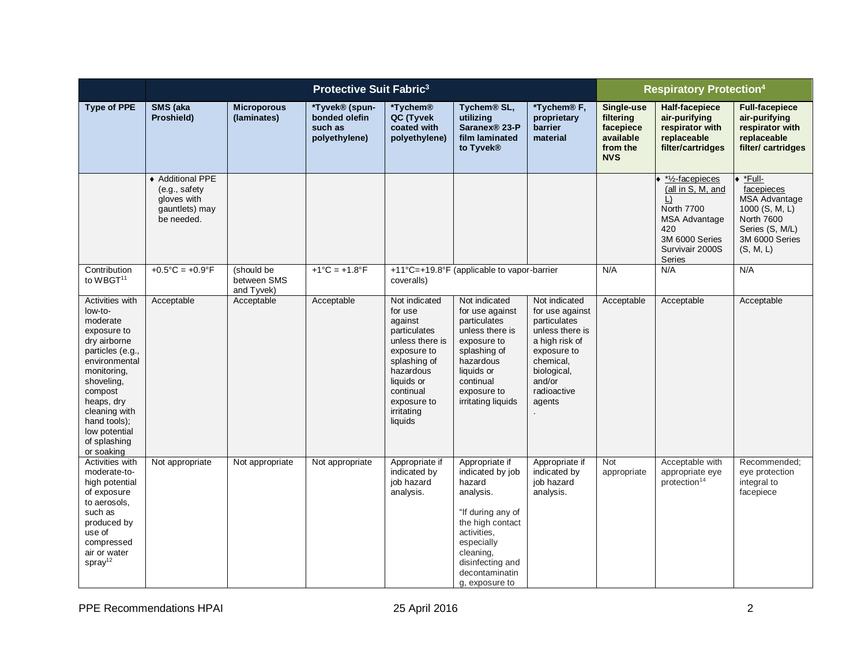|                                                                                                                                                                                                                                                  | <b>Protective Suit Fabric<sup>3</sup></b>                                        |                                         |                                                             |                                                                                                                                                                                       |                                                                                                                                                                                                      |                                                                                                                                                                     | <b>Respiratory Protection4</b>                                              |                                                                                                                                                                |                                                                                                                                       |
|--------------------------------------------------------------------------------------------------------------------------------------------------------------------------------------------------------------------------------------------------|----------------------------------------------------------------------------------|-----------------------------------------|-------------------------------------------------------------|---------------------------------------------------------------------------------------------------------------------------------------------------------------------------------------|------------------------------------------------------------------------------------------------------------------------------------------------------------------------------------------------------|---------------------------------------------------------------------------------------------------------------------------------------------------------------------|-----------------------------------------------------------------------------|----------------------------------------------------------------------------------------------------------------------------------------------------------------|---------------------------------------------------------------------------------------------------------------------------------------|
| <b>Type of PPE</b>                                                                                                                                                                                                                               | SMS (aka<br>Proshield)                                                           | <b>Microporous</b><br>(laminates)       | *Tyvek® (spun-<br>bonded olefin<br>such as<br>polyethylene) | *Tychem®<br>QC (Tyvek<br>coated with<br>polyethylene)                                                                                                                                 | Tychem <sup>®</sup> SL,<br>utilizing<br>Saranex <sup>®</sup> 23-P<br>film laminated<br>to Tyvek <sup>®</sup>                                                                                         | *Tychem <sup>®</sup> F,<br>proprietary<br>barrier<br>material                                                                                                       | Single-use<br>filtering<br>facepiece<br>available<br>from the<br><b>NVS</b> | Half-facepiece<br>air-purifying<br>respirator with<br>replaceable<br>filter/cartridges                                                                         | <b>Full-facepiece</b><br>air-purifying<br>respirator with<br>replaceable<br>filter/cartridges                                         |
|                                                                                                                                                                                                                                                  | ◆ Additional PPE<br>(e.g., safety<br>gloves with<br>gauntlets) may<br>be needed. |                                         |                                                             |                                                                                                                                                                                       |                                                                                                                                                                                                      |                                                                                                                                                                     |                                                                             | *1/ <sub>2</sub> -facepieces<br>(all in S, M, and<br>$\Box$<br><b>North 7700</b><br><b>MSA Advantage</b><br>420<br>3M 6000 Series<br>Survivair 2000S<br>Series | *Full-<br>facepieces<br><b>MSA Advantage</b><br>1000 (S, M, L)<br><b>North 7600</b><br>Series (S, M/L)<br>3M 6000 Series<br>(S, M, L) |
| Contribution<br>to WBGT <sup>11</sup>                                                                                                                                                                                                            | $+0.5^{\circ}C = +0.9^{\circ}F$                                                  | (should be<br>between SMS<br>and Tyvek) | $+1^{\circ}C = +1.8^{\circ}F$                               | +11°C=+19.8°F (applicable to vapor-barrier<br>coveralls)                                                                                                                              |                                                                                                                                                                                                      |                                                                                                                                                                     | N/A                                                                         | N/A                                                                                                                                                            | N/A                                                                                                                                   |
| Activities with<br>low-to-<br>moderate<br>exposure to<br>dry airborne<br>particles (e.g.,<br>environmental<br>monitoring,<br>shoveling,<br>compost<br>heaps, dry<br>cleaning with<br>hand tools);<br>low potential<br>of splashing<br>or soaking | Acceptable                                                                       | Acceptable                              | Acceptable                                                  | Not indicated<br>for use<br>against<br>particulates<br>unless there is<br>exposure to<br>splashing of<br>hazardous<br>liquids or<br>continual<br>exposure to<br>irritating<br>liquids | Not indicated<br>for use against<br>particulates<br>unless there is<br>exposure to<br>splashing of<br>hazardous<br>liquids or<br>continual<br>exposure to<br>irritating liquids                      | Not indicated<br>for use against<br>particulates<br>unless there is<br>a high risk of<br>exposure to<br>chemical,<br>biological,<br>and/or<br>radioactive<br>agents | Acceptable                                                                  | Acceptable                                                                                                                                                     | Acceptable                                                                                                                            |
| Activities with<br>moderate-to-<br>high potential<br>of exposure<br>to aerosols,<br>such as<br>produced by<br>use of<br>compressed<br>air or water<br>spray <sup>12</sup>                                                                        | Not appropriate                                                                  | Not appropriate                         | Not appropriate                                             | Appropriate if<br>indicated by<br>job hazard<br>analysis.                                                                                                                             | Appropriate if<br>indicated by job<br>hazard<br>analysis.<br>"If during any of<br>the high contact<br>activities,<br>especially<br>cleaning,<br>disinfecting and<br>decontaminatin<br>g, exposure to | Appropriate if<br>indicated by<br>job hazard<br>analysis.                                                                                                           | <b>Not</b><br>appropriate                                                   | Acceptable with<br>appropriate eye<br>protection <sup>14</sup>                                                                                                 | Recommended:<br>eye protection<br>integral to<br>facepiece                                                                            |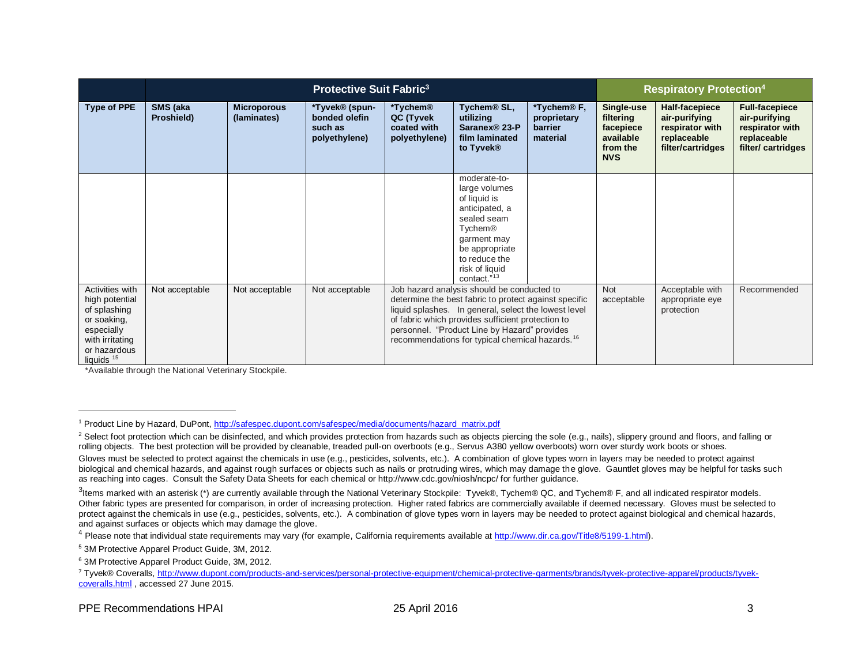|                                                                                                                                            | <b>Protective Suit Fabric<sup>3</sup></b> |                                   |                                                             |                                                                                                                                                                                                                                                                                                                                 |                                                                                                                                                                                          | <b>Respiratory Protection<sup>4</sup></b>                            |                                                                             |                                                                                        |                                                                                                |
|--------------------------------------------------------------------------------------------------------------------------------------------|-------------------------------------------|-----------------------------------|-------------------------------------------------------------|---------------------------------------------------------------------------------------------------------------------------------------------------------------------------------------------------------------------------------------------------------------------------------------------------------------------------------|------------------------------------------------------------------------------------------------------------------------------------------------------------------------------------------|----------------------------------------------------------------------|-----------------------------------------------------------------------------|----------------------------------------------------------------------------------------|------------------------------------------------------------------------------------------------|
| <b>Type of PPE</b>                                                                                                                         | SMS (aka<br>Proshield)                    | <b>Microporous</b><br>(laminates) | *Tyvek® (spun-<br>bonded olefin<br>such as<br>polyethylene) | *Tychem <sup>®</sup><br>QC (Tyvek<br>coated with<br>polyethylene)                                                                                                                                                                                                                                                               | Tychem <sup>®</sup> SL,<br>utilizing<br>Saranex <sup>®</sup> 23-P<br>film laminated<br>to Tyvek®                                                                                         | *Tychem <sup>®</sup> F,<br>proprietary<br><b>barrier</b><br>material | Single-use<br>filtering<br>facepiece<br>available<br>from the<br><b>NVS</b> | Half-facepiece<br>air-purifying<br>respirator with<br>replaceable<br>filter/cartridges | <b>Full-facepiece</b><br>air-purifying<br>respirator with<br>replaceable<br>filter/ cartridges |
|                                                                                                                                            |                                           |                                   |                                                             |                                                                                                                                                                                                                                                                                                                                 | moderate-to-<br>large volumes<br>of liquid is<br>anticipated, a<br>sealed seam<br>Tychem <sup>®</sup><br>garment may<br>be appropriate<br>to reduce the<br>risk of liquid<br>contact."13 |                                                                      |                                                                             |                                                                                        |                                                                                                |
| Activities with<br>high potential<br>of splashing<br>or soaking,<br>especially<br>with irritating<br>or hazardous<br>liquids <sup>15</sup> | Not acceptable                            | Not acceptable                    | Not acceptable                                              | Job hazard analysis should be conducted to<br>determine the best fabric to protect against specific<br>liquid splashes. In general, select the lowest level<br>of fabric which provides sufficient protection to<br>personnel. "Product Line by Hazard" provides<br>recommendations for typical chemical hazards. <sup>16</sup> |                                                                                                                                                                                          | <b>Not</b><br>acceptable                                             | Acceptable with<br>appropriate eye<br>protection                            | Recommended                                                                            |                                                                                                |

\*Available through the National Veterinary Stockpile.

 $\overline{a}$ 

<sup>1</sup> Product Line by Hazard, DuPont, [http://safespec.dupont.com/safespec/media/documents/hazard\\_matrix.pdf](http://safespec.dupont.com/safespec/media/documents/hazard_matrix.pdf)

<sup>&</sup>lt;sup>2</sup> Select foot protection which can be disinfected, and which provides protection from hazards such as objects piercing the sole (e.g., nails), slippery ground and floors, and falling or rolling objects. The best protection will be provided by cleanable, treaded pull-on overboots (e.g., Servus A380 yellow overboots) worn over sturdy work boots or shoes.

Gloves must be selected to protect against the chemicals in use (e.g., pesticides, solvents, etc.). A combination of glove types worn in layers may be needed to protect against biological and chemical hazards, and against rough surfaces or objects such as nails or protruding wires, which may damage the glove. Gauntlet gloves may be helpful for tasks such as reaching into cages. Consult the Safety Data Sheets for each chemical or http://www.cdc.gov/niosh/ncpc/ for further guidance.

<sup>3&</sup>lt;br>Items marked with an asterisk (\*) are currently available through the National Veterinary Stockpile: Tyvek®, Tychem® QC, and Tychem® F, and all indicated respirator models. Other fabric types are presented for comparison, in order of increasing protection. Higher rated fabrics are commercially available if deemed necessary. Gloves must be selected to protect against the chemicals in use (e.g., pesticides, solvents, etc.). A combination of glove types worn in layers may be needed to protect against biological and chemical hazards, and against surfaces or objects which may damage the glove.

<sup>&</sup>lt;sup>4</sup> Please note that individual state requirements may vary (for example, California requirements available at [http://www.dir.ca.gov/Title8/5199-1.html\)](http://www.dir.ca.gov/Title8/5199-1.html).

<sup>5</sup> 3M Protective Apparel Product Guide, 3M, 2012.

<sup>6</sup> 3M Protective Apparel Product Guide, 3M, 2012.

<sup>7</sup> Tyvek® Coveralls, [http://www.dupont.com/products-and-services/personal-protective-equipment/chemical-protective-garments/brands/tyvek-protective-apparel/products/tyvek](http://www.dupont.com/products-and-services/personal-protective-equipment/chemical-protective-garments/brands/tyvek-protective-apparel/products/tyvek-coveralls.html)[coveralls.html](http://www.dupont.com/products-and-services/personal-protective-equipment/chemical-protective-garments/brands/tyvek-protective-apparel/products/tyvek-coveralls.html) , accessed 27 June 2015.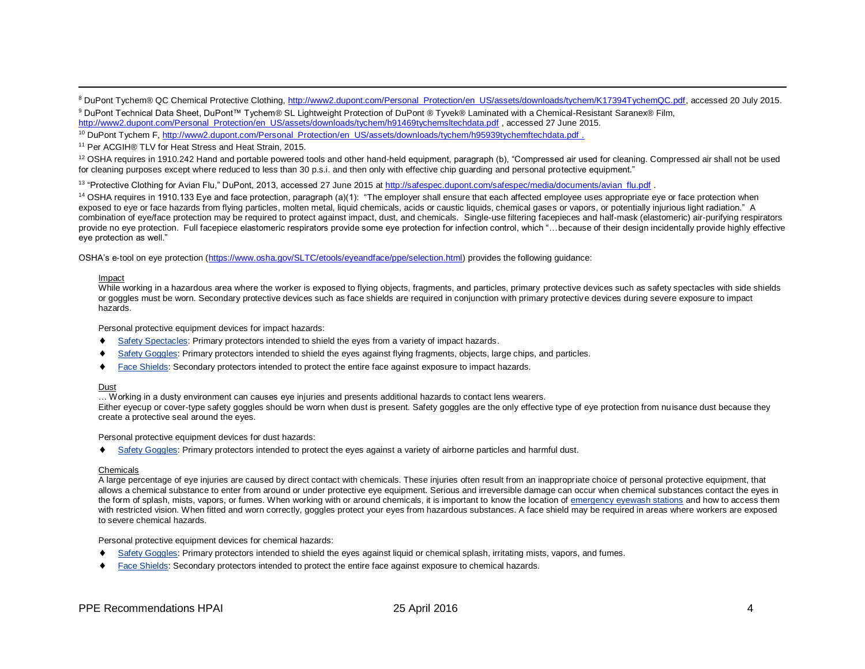8 DuPont Tychem® QC Chemical Protective Clothing, [http://www2.dupont.com/Personal\\_Protection/en\\_US/assets/downloads/tychem/K17394TychemQC.pdf,](http://www2.dupont.com/Personal_Protection/en_US/assets/downloads/tychem/K17394TychemQC.pdf) accessed 20 July 2015. <sup>9</sup> DuPont Technical Data Sheet, DuPont™ Tychem® SL Lightweight Protection of DuPont ® Tyvek® Laminated with a Chemical-Resistant Saranex® Film,

[http://www2.dupont.com/Personal\\_Protection/en\\_US/assets/downloads/tychem/h91469tychemsltechdata.pdf](http://www2.dupont.com/Personal_Protection/en_US/assets/downloads/tychem/h91469tychemsltechdata.pdf) , accessed 27 June 2015.

<sup>10</sup> DuPont Tychem F[, http://www2.dupont.com/Personal\\_Protection/en\\_US/assets/downloads/tychem/h95939tychemftechdata.pdf](http://www2.dupont.com/Personal_Protection/en_US/assets/downloads/tychem/h95939tychemftechdata.pdf) .

<sup>11</sup> Per ACGIH® TLV for Heat Stress and Heat Strain, 2015.

<sup>12</sup> OSHA requires in 1910.242 Hand and portable powered tools and other hand-held equipment, paragraph (b), "Compressed air used for cleaning. Compressed air shall not be used for cleaning purposes except where reduced to less than 30 p.s.i. and then only with effective chip guarding and personal protective equipment."

<sup>13</sup> "Protective Clothing for Avian Flu," DuPont, 2013, accessed 27 June 2015 at [http://safespec.dupont.com/safespec/media/documents/avian\\_flu.pdf](http://safespec.dupont.com/safespec/media/documents/avian_flu.pdf) .

 $14$  OSHA requires in 1910.133 Eye and face protection, paragraph (a)(1): "The employer shall ensure that each affected employee uses appropriate eye or face protection when exposed to eye or face hazards from flying particles, molten metal, liquid chemicals, acids or caustic liquids, chemical gases or vapors, or potentially injurious light radiation." A combination of eye/face protection may be required to protect against impact, dust, and chemicals. Single-use filtering facepieces and half-mask (elastomeric) air-purifying respirators provide no eye protection. Full facepiece elastomeric respirators provide some eye protection for infection control, which "... because of their design incidentally provide highly effective eye protection as well."

OSHA's e-tool on eye protection [\(https://www.osha.gov/SLTC/etools/eyeandface/ppe/selection.html\)](https://www.osha.gov/SLTC/etools/eyeandface/ppe/selection.html) provides the following guidance:

## Impact

 $\overline{\phantom{a}}$ 

While working in a hazardous area where the worker is exposed to flying objects, fragments, and particles, primary protective devices such as safety spectacles with side shields or goggles must be worn. Secondary protective devices such as face shields are required in conjunction with primary protective devices during severe exposure to impact hazards.

Personal protective equipment devices for impact hazards:

- [Safety Spectacles:](https://www.osha.gov/SLTC/etools/eyeandface/ppe/impact.html#spectacles) Primary protectors intended to shield the eyes from a variety of impact hazards.
- [Safety Goggles:](https://www.osha.gov/SLTC/etools/eyeandface/ppe/impact.html#goggles) Primary protectors intended to shield the eyes against flying fragments, objects, large chips, and particles.
- [Face Shields:](https://www.osha.gov/SLTC/etools/eyeandface/ppe/impact.html#faceshields) Secondary protectors intended to protect the entire face against exposure to impact hazards.

## Dust

… Working in a dusty environment can causes eye injuries and presents additional hazards to contact lens wearers.

Either eyecup or cover-type safety goggles should be worn when dust is present. Safety goggles are the only effective type of eye protection from nuisance dust because they create a protective seal around the eyes.

Personal protective equipment devices for dust hazards:

[Safety Goggles:](https://www.osha.gov/SLTC/etools/eyeandface/ppe/dust.html#goggles) Primary protectors intended to protect the eyes against a variety of airborne particles and harmful dust.

## Chemicals

A large percentage of eye injuries are caused by direct contact with chemicals. These injuries often result from an inappropriate choice of personal protective equipment, that allows a chemical substance to enter from around or under protective eye equipment. Serious and irreversible damage can occur when chemical substances contact the eyes in the form of splash, mists, vapors, or fumes. When working with or around chemicals, it is important to know the location of [emergency eyewash stations](https://www.osha.gov/SLTC/etools/eyeandface/employer/requirements.html#Training) and how to access them with restricted vision. When fitted and worn correctly, goggles protect your eyes from hazardous substances. A face shield may be required in areas where workers are exposed to severe chemical hazards.

Personal protective equipment devices for chemical hazards:

- [Safety Goggles:](https://www.osha.gov/SLTC/etools/eyeandface/ppe/chemicals.html#goggles) Primary protectors intended to shield the eyes against liquid or chemical splash, irritating mists, vapors, and fumes.
- [Face Shields:](https://www.osha.gov/SLTC/etools/eyeandface/ppe/chemicals.html#faceshields) Secondary protectors intended to protect the entire face against exposure to chemical hazards.